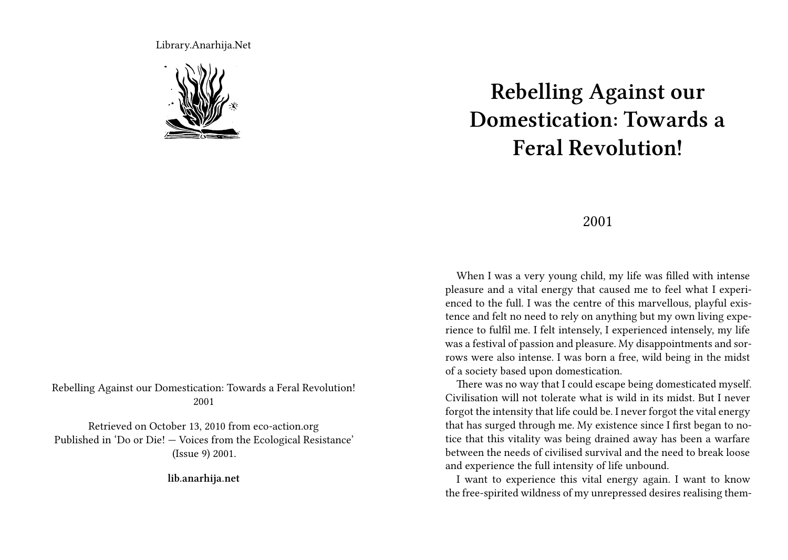Library.Anarhija.Net



Rebelling Against our Domestication: Towards a Feral Revolution! 2001

Retrieved on October 13, 2010 from eco-action.org Published in 'Do or Die! — Voices from the Ecological Resistance' (Issue 9) 2001.

**lib.anarhija.net**

## **Rebelling Against our Domestication: Towards a Feral Revolution!**

## 2001

When I was a very young child, my life was filled with intense pleasure and a vital energy that caused me to feel what I experienced to the full. I was the centre of this marvellous, playful existence and felt no need to rely on anything but my own living experience to fulfil me. I felt intensely, I experienced intensely, my life was a festival of passion and pleasure. My disappointments and sorrows were also intense. I was born a free, wild being in the midst of a society based upon domestication.

There was no way that I could escape being domesticated myself. Civilisation will not tolerate what is wild in its midst. But I never forgot the intensity that life could be. I never forgot the vital energy that has surged through me. My existence since I first began to notice that this vitality was being drained away has been a warfare between the needs of civilised survival and the need to break loose and experience the full intensity of life unbound.

I want to experience this vital energy again. I want to know the free-spirited wildness of my unrepressed desires realising them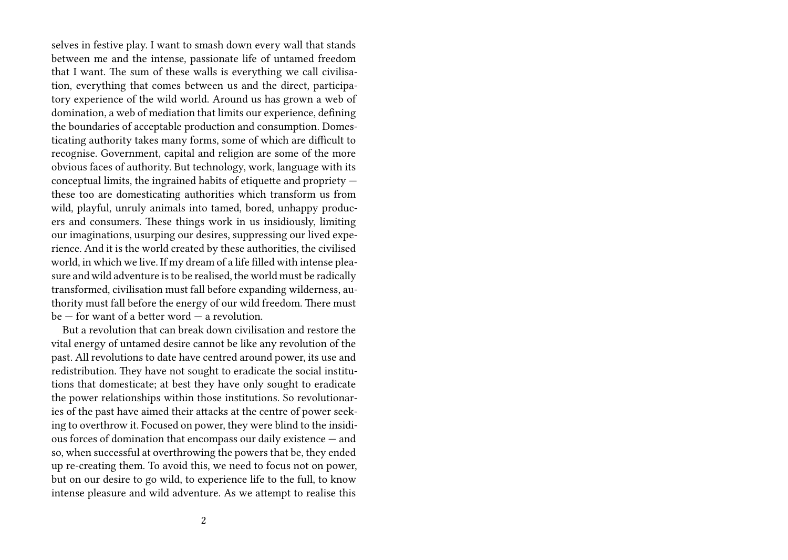selves in festive play. I want to smash down every wall that stands between me and the intense, passionate life of untamed freedom that I want. The sum of these walls is everything we call civilisation, everything that comes between us and the direct, participatory experience of the wild world. Around us has grown a web of domination, a web of mediation that limits our experience, defining the boundaries of acceptable production and consumption. Domesticating authority takes many forms, some of which are difficult to recognise. Government, capital and religion are some of the more obvious faces of authority. But technology, work, language with its conceptual limits, the ingrained habits of etiquette and propriety these too are domesticating authorities which transform us from wild, playful, unruly animals into tamed, bored, unhappy producers and consumers. These things work in us insidiously, limiting our imaginations, usurping our desires, suppressing our lived experience. And it is the world created by these authorities, the civilised world, in which we live. If my dream of a life filled with intense pleasure and wild adventure is to be realised, the world must be radically transformed, civilisation must fall before expanding wilderness, authority must fall before the energy of our wild freedom. There must  $be$  – for want of a better word – a revolution.

But a revolution that can break down civilisation and restore the vital energy of untamed desire cannot be like any revolution of the past. All revolutions to date have centred around power, its use and redistribution. They have not sought to eradicate the social institutions that domesticate; at best they have only sought to eradicate the power relationships within those institutions. So revolutionaries of the past have aimed their attacks at the centre of power seeking to overthrow it. Focused on power, they were blind to the insidious forces of domination that encompass our daily existence — and so, when successful at overthrowing the powers that be, they ended up re-creating them. To avoid this, we need to focus not on power, but on our desire to go wild, to experience life to the full, to know intense pleasure and wild adventure. As we attempt to realise this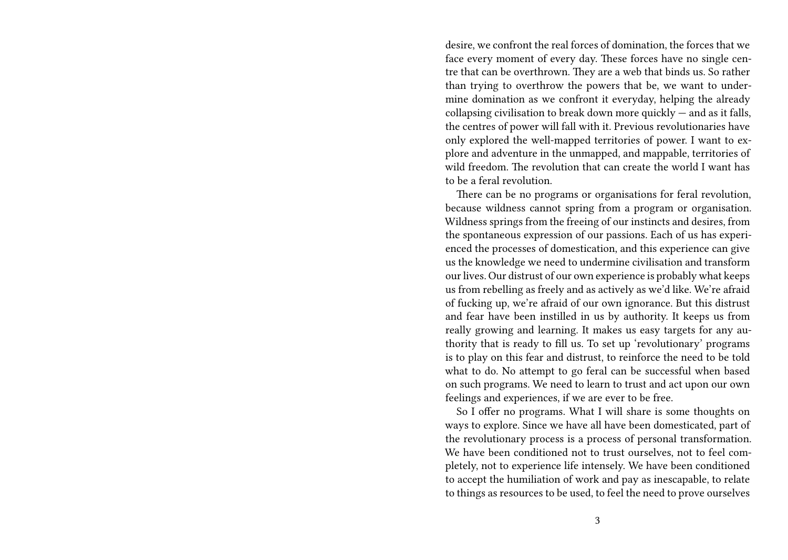desire, we confront the real forces of domination, the forces that we face every moment of every day. These forces have no single centre that can be overthrown. They are a web that binds us. So rather than trying to overthrow the powers that be, we want to undermine domination as we confront it everyday, helping the already collapsing civilisation to break down more quickly  $-$  and as it falls, the centres of power will fall with it. Previous revolutionaries have only explored the well-mapped territories of power. I want to explore and adventure in the unmapped, and mappable, territories of wild freedom. The revolution that can create the world I want has to be a feral revolution.

There can be no programs or organisations for feral revolution, because wildness cannot spring from a program or organisation. Wildness springs from the freeing of our instincts and desires, from the spontaneous expression of our passions. Each of us has experienced the processes of domestication, and this experience can give us the knowledge we need to undermine civilisation and transform our lives. Our distrust of our own experience is probably what keeps us from rebelling as freely and as actively as we'd like. We're afraid of fucking up, we're afraid of our own ignorance. But this distrust and fear have been instilled in us by authority. It keeps us from really growing and learning. It makes us easy targets for any authority that is ready to fill us. To set up 'revolutionary' programs is to play on this fear and distrust, to reinforce the need to be told what to do. No attempt to go feral can be successful when based on such programs. We need to learn to trust and act upon our own feelings and experiences, if we are ever to be free.

So I offer no programs. What I will share is some thoughts on ways to explore. Since we have all have been domesticated, part of the revolutionary process is a process of personal transformation. We have been conditioned not to trust ourselves, not to feel completely, not to experience life intensely. We have been conditioned to accept the humiliation of work and pay as inescapable, to relate to things as resources to be used, to feel the need to prove ourselves